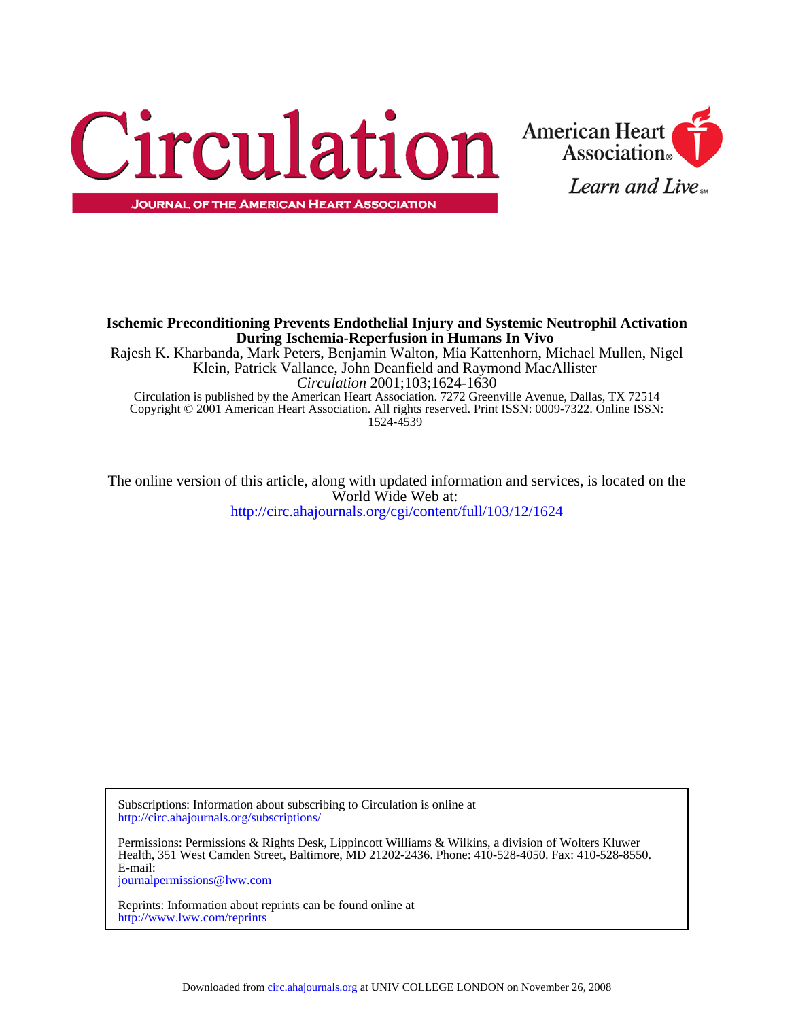



**JOURNAL OF THE AMERICAN HEART ASSOCIATION** 

1524-4539 Copyright © 2001 American Heart Association. All rights reserved. Print ISSN: 0009-7322. Online ISSN: Circulation is published by the American Heart Association. 7272 Greenville Avenue, Dallas, TX 72514 *Circulation* 2001;103;1624-1630 Klein, Patrick Vallance, John Deanfield and Raymond MacAllister Rajesh K. Kharbanda, Mark Peters, Benjamin Walton, Mia Kattenhorn, Michael Mullen, Nigel **During Ischemia-Reperfusion in Humans In Vivo Ischemic Preconditioning Prevents Endothelial Injury and Systemic Neutrophil Activation**

<http://circ.ahajournals.org/cgi/content/full/103/12/1624> World Wide Web at: The online version of this article, along with updated information and services, is located on the

<http://circ.ahajournals.org/subscriptions/> Subscriptions: Information about subscribing to Circulation is online at

[journalpermissions@lww.com](mailto:journalpermissions@lww.com) E-mail: Health, 351 West Camden Street, Baltimore, MD 21202-2436. Phone: 410-528-4050. Fax: 410-528-8550. Permissions: Permissions & Rights Desk, Lippincott Williams & Wilkins, a division of Wolters Kluwer

<http://www.lww.com/reprints> Reprints: Information about reprints can be found online at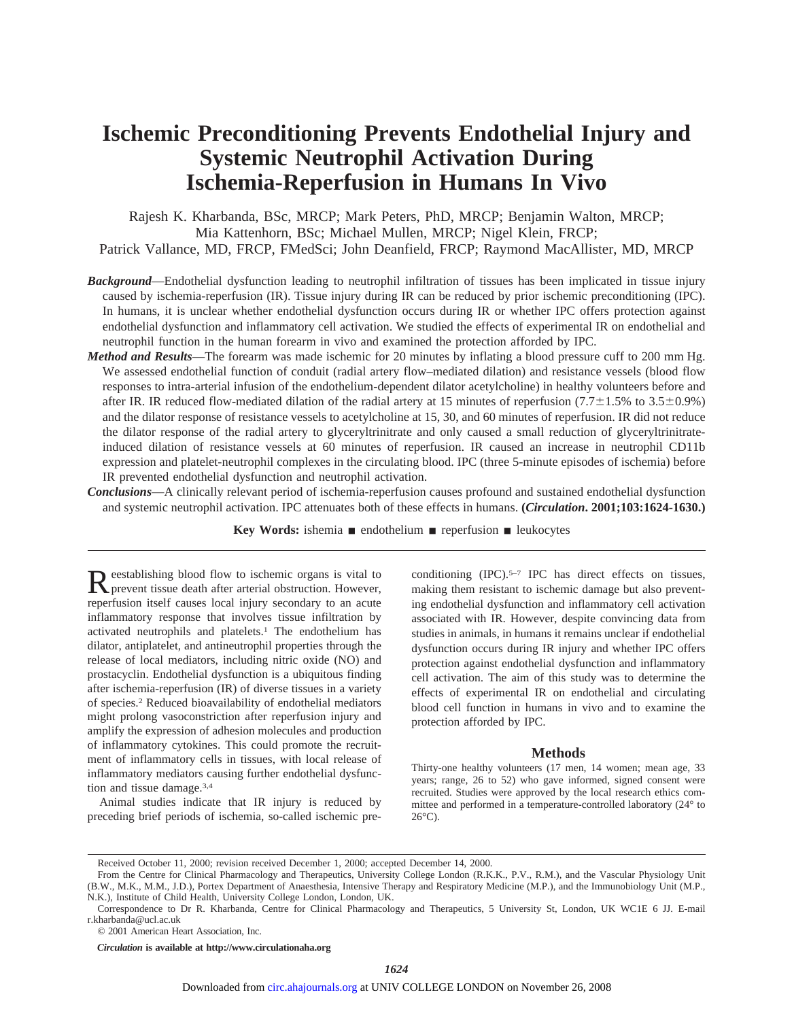# **Ischemic Preconditioning Prevents Endothelial Injury and Systemic Neutrophil Activation During Ischemia-Reperfusion in Humans In Vivo**

Rajesh K. Kharbanda, BSc, MRCP; Mark Peters, PhD, MRCP; Benjamin Walton, MRCP; Mia Kattenhorn, BSc; Michael Mullen, MRCP; Nigel Klein, FRCP; Patrick Vallance, MD, FRCP, FMedSci; John Deanfield, FRCP; Raymond MacAllister, MD, MRCP

- *Background*—Endothelial dysfunction leading to neutrophil infiltration of tissues has been implicated in tissue injury caused by ischemia-reperfusion (IR). Tissue injury during IR can be reduced by prior ischemic preconditioning (IPC). In humans, it is unclear whether endothelial dysfunction occurs during IR or whether IPC offers protection against endothelial dysfunction and inflammatory cell activation. We studied the effects of experimental IR on endothelial and neutrophil function in the human forearm in vivo and examined the protection afforded by IPC.
- *Method and Results*—The forearm was made ischemic for 20 minutes by inflating a blood pressure cuff to 200 mm Hg. We assessed endothelial function of conduit (radial artery flow–mediated dilation) and resistance vessels (blood flow responses to intra-arterial infusion of the endothelium-dependent dilator acetylcholine) in healthy volunteers before and after IR. IR reduced flow-mediated dilation of the radial artery at 15 minutes of reperfusion (7.7 $\pm$ 1.5% to 3.5 $\pm$ 0.9%) and the dilator response of resistance vessels to acetylcholine at 15, 30, and 60 minutes of reperfusion. IR did not reduce the dilator response of the radial artery to glyceryltrinitrate and only caused a small reduction of glyceryltrinitrateinduced dilation of resistance vessels at 60 minutes of reperfusion. IR caused an increase in neutrophil CD11b expression and platelet-neutrophil complexes in the circulating blood. IPC (three 5-minute episodes of ischemia) before IR prevented endothelial dysfunction and neutrophil activation.
- *Conclusions*—A clinically relevant period of ischemia-reperfusion causes profound and sustained endothelial dysfunction and systemic neutrophil activation. IPC attenuates both of these effects in humans. **(***Circulation***. 2001;103:1624-1630.)**

**Key Words:** ishemia **n** endothelium **n** reperfusion **n** leukocytes

Reestablishing blood flow to ischemic organs is vital to prevent tissue death after arterial obstruction. However, reperfusion itself causes local injury secondary to an acute inflammatory response that involves tissue infiltration by activated neutrophils and platelets.1 The endothelium has dilator, antiplatelet, and antineutrophil properties through the release of local mediators, including nitric oxide (NO) and prostacyclin. Endothelial dysfunction is a ubiquitous finding after ischemia-reperfusion (IR) of diverse tissues in a variety of species.2 Reduced bioavailability of endothelial mediators might prolong vasoconstriction after reperfusion injury and amplify the expression of adhesion molecules and production of inflammatory cytokines. This could promote the recruitment of inflammatory cells in tissues, with local release of inflammatory mediators causing further endothelial dysfunction and tissue damage.3,4

Animal studies indicate that IR injury is reduced by preceding brief periods of ischemia, so-called ischemic preconditioning  $(IPC)$ .<sup>5-7</sup> IPC has direct effects on tissues, making them resistant to ischemic damage but also preventing endothelial dysfunction and inflammatory cell activation associated with IR. However, despite convincing data from studies in animals, in humans it remains unclear if endothelial dysfunction occurs during IR injury and whether IPC offers protection against endothelial dysfunction and inflammatory cell activation. The aim of this study was to determine the effects of experimental IR on endothelial and circulating blood cell function in humans in vivo and to examine the protection afforded by IPC.

#### **Methods**

Thirty-one healthy volunteers (17 men, 14 women; mean age, 33 years; range, 26 to 52) who gave informed, signed consent were recruited. Studies were approved by the local research ethics committee and performed in a temperature-controlled laboratory (24° to  $26^{\circ}$ C).

*Circulation* **is available at http://www.circulationaha.org**

Received October 11, 2000; revision received December 1, 2000; accepted December 14, 2000.

From the Centre for Clinical Pharmacology and Therapeutics, University College London (R.K.K., P.V., R.M.), and the Vascular Physiology Unit (B.W., M.K., M.M., J.D.), Portex Department of Anaesthesia, Intensive Therapy and Respiratory Medicine (M.P.), and the Immunobiology Unit (M.P., N.K.), Institute of Child Health, University College London, London, UK.

Correspondence to Dr R. Kharbanda, Centre for Clinical Pharmacology and Therapeutics, 5 University St, London, UK WC1E 6 JJ. E-mail r.kharbanda@ucl.ac.uk

<sup>© 2001</sup> American Heart Association, Inc.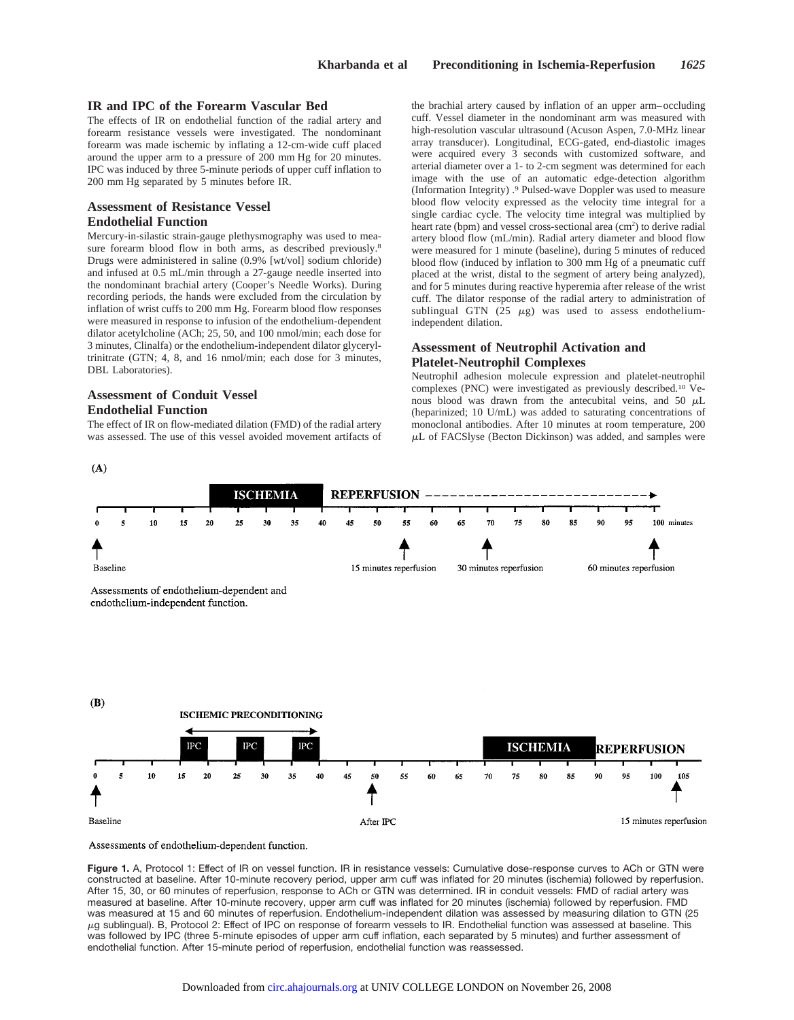#### **IR and IPC of the Forearm Vascular Bed**

The effects of IR on endothelial function of the radial artery and forearm resistance vessels were investigated. The nondominant forearm was made ischemic by inflating a 12-cm-wide cuff placed around the upper arm to a pressure of 200 mm Hg for 20 minutes. IPC was induced by three 5-minute periods of upper cuff inflation to 200 mm Hg separated by 5 minutes before IR.

# **Assessment of Resistance Vessel Endothelial Function**

Mercury-in-silastic strain-gauge plethysmography was used to measure forearm blood flow in both arms, as described previously.<sup>8</sup> Drugs were administered in saline (0.9% [wt/vol] sodium chloride) and infused at 0.5 mL/min through a 27-gauge needle inserted into the nondominant brachial artery (Cooper's Needle Works). During recording periods, the hands were excluded from the circulation by inflation of wrist cuffs to 200 mm Hg. Forearm blood flow responses were measured in response to infusion of the endothelium-dependent dilator acetylcholine (ACh; 25, 50, and 100 nmol/min; each dose for 3 minutes, Clinalfa) or the endothelium-independent dilator glyceryltrinitrate (GTN; 4, 8, and 16 nmol/min; each dose for 3 minutes, DBL Laboratories).

# **Assessment of Conduit Vessel Endothelial Function**

 $(A)$ 

The effect of IR on flow-mediated dilation (FMD) of the radial artery was assessed. The use of this vessel avoided movement artifacts of

the brachial artery caused by inflation of an upper arm–occluding cuff. Vessel diameter in the nondominant arm was measured with high-resolution vascular ultrasound (Acuson Aspen, 7.0-MHz linear array transducer). Longitudinal, ECG-gated, end-diastolic images were acquired every 3 seconds with customized software, and arterial diameter over a 1- to 2-cm segment was determined for each image with the use of an automatic edge-detection algorithm (Information Integrity) .9 Pulsed-wave Doppler was used to measure blood flow velocity expressed as the velocity time integral for a single cardiac cycle. The velocity time integral was multiplied by heart rate (bpm) and vessel cross-sectional area  $(cm<sup>2</sup>)$  to derive radial artery blood flow (mL/min). Radial artery diameter and blood flow were measured for 1 minute (baseline), during 5 minutes of reduced blood flow (induced by inflation to 300 mm Hg of a pneumatic cuff placed at the wrist, distal to the segment of artery being analyzed), and for 5 minutes during reactive hyperemia after release of the wrist cuff. The dilator response of the radial artery to administration of sublingual GTN  $(25 \mu g)$  was used to assess endotheliumindependent dilation.

# **Assessment of Neutrophil Activation and Platelet-Neutrophil Complexes**

Neutrophil adhesion molecule expression and platelet-neutrophil complexes (PNC) were investigated as previously described.10 Venous blood was drawn from the antecubital veins, and 50  $\mu$ L (heparinized; 10 U/mL) was added to saturating concentrations of monoclonal antibodies. After 10 minutes at room temperature, 200  $\mu$ L of FACSlyse (Becton Dickinson) was added, and samples were



Assessments of endothelium-dependent function.

Figure 1. A, Protocol 1: Effect of IR on vessel function. IR in resistance vessels: Cumulative dose-response curves to ACh or GTN were constructed at baseline. After 10-minute recovery period, upper arm cuff was inflated for 20 minutes (ischemia) followed by reperfusion. After 15, 30, or 60 minutes of reperfusion, response to ACh or GTN was determined. IR in conduit vessels: FMD of radial artery was measured at baseline. After 10-minute recovery, upper arm cuff was inflated for 20 minutes (ischemia) followed by reperfusion. FMD was measured at 15 and 60 minutes of reperfusion. Endothelium-independent dilation was assessed by measuring dilation to GTN (25 µg sublingual). B, Protocol 2: Effect of IPC on response of forearm vessels to IR. Endothelial function was assessed at baseline. This was followed by IPC (three 5-minute episodes of upper arm cuff inflation, each separated by 5 minutes) and further assessment of endothelial function. After 15-minute period of reperfusion, endothelial function was reassessed.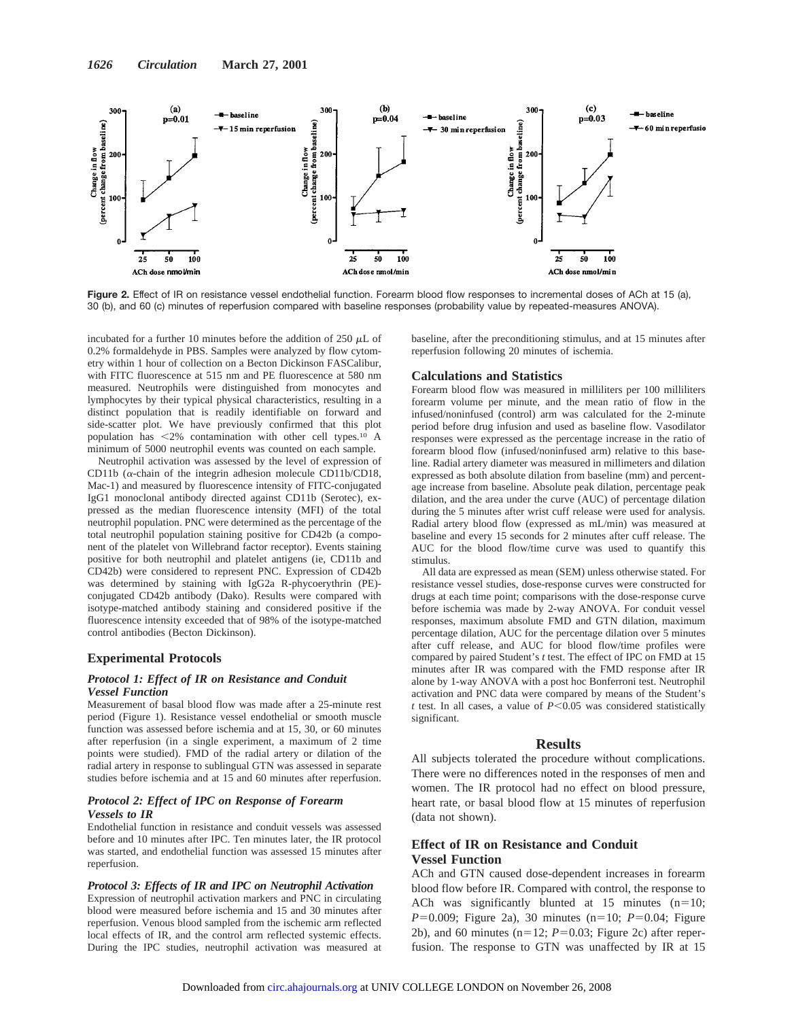

**Figure 2.** Effect of IR on resistance vessel endothelial function. Forearm blood flow responses to incremental doses of ACh at 15 (a), 30 (b), and 60 (c) minutes of reperfusion compared with baseline responses (probability value by repeated-measures ANOVA).

incubated for a further 10 minutes before the addition of 250  $\mu$ L of 0.2% formaldehyde in PBS. Samples were analyzed by flow cytometry within 1 hour of collection on a Becton Dickinson FASCalibur, with FITC fluorescence at 515 nm and PE fluorescence at 580 nm measured. Neutrophils were distinguished from monocytes and lymphocytes by their typical physical characteristics, resulting in a distinct population that is readily identifiable on forward and side-scatter plot. We have previously confirmed that this plot population has  $\langle 2\%$  contamination with other cell types.<sup>10</sup> A minimum of 5000 neutrophil events was counted on each sample.

Neutrophil activation was assessed by the level of expression of CD11b ( $\alpha$ -chain of the integrin adhesion molecule CD11b/CD18, Mac-1) and measured by fluorescence intensity of FITC-conjugated IgG1 monoclonal antibody directed against CD11b (Serotec), expressed as the median fluorescence intensity (MFI) of the total neutrophil population. PNC were determined as the percentage of the total neutrophil population staining positive for CD42b (a component of the platelet von Willebrand factor receptor). Events staining positive for both neutrophil and platelet antigens (ie, CD11b and CD42b) were considered to represent PNC. Expression of CD42b was determined by staining with IgG2a R-phycoerythrin (PE) conjugated CD42b antibody (Dako). Results were compared with isotype-matched antibody staining and considered positive if the fluorescence intensity exceeded that of 98% of the isotype-matched control antibodies (Becton Dickinson).

#### **Experimental Protocols**

#### *Protocol 1: Effect of IR on Resistance and Conduit Vessel Function*

Measurement of basal blood flow was made after a 25-minute rest period (Figure 1). Resistance vessel endothelial or smooth muscle function was assessed before ischemia and at 15, 30, or 60 minutes after reperfusion (in a single experiment, a maximum of 2 time points were studied). FMD of the radial artery or dilation of the radial artery in response to sublingual GTN was assessed in separate studies before ischemia and at 15 and 60 minutes after reperfusion.

#### *Protocol 2: Effect of IPC on Response of Forearm Vessels to IR*

Endothelial function in resistance and conduit vessels was assessed before and 10 minutes after IPC. Ten minutes later, the IR protocol was started, and endothelial function was assessed 15 minutes after reperfusion.

#### *Protocol 3: Effects of IR and IPC on Neutrophil Activation*

Expression of neutrophil activation markers and PNC in circulating blood were measured before ischemia and 15 and 30 minutes after reperfusion. Venous blood sampled from the ischemic arm reflected local effects of IR, and the control arm reflected systemic effects. During the IPC studies, neutrophil activation was measured at

baseline, after the preconditioning stimulus, and at 15 minutes after reperfusion following 20 minutes of ischemia.

#### **Calculations and Statistics**

Forearm blood flow was measured in milliliters per 100 milliliters forearm volume per minute, and the mean ratio of flow in the infused/noninfused (control) arm was calculated for the 2-minute period before drug infusion and used as baseline flow. Vasodilator responses were expressed as the percentage increase in the ratio of forearm blood flow (infused/noninfused arm) relative to this baseline. Radial artery diameter was measured in millimeters and dilation expressed as both absolute dilation from baseline (mm) and percentage increase from baseline. Absolute peak dilation, percentage peak dilation, and the area under the curve (AUC) of percentage dilation during the 5 minutes after wrist cuff release were used for analysis. Radial artery blood flow (expressed as mL/min) was measured at baseline and every 15 seconds for 2 minutes after cuff release. The AUC for the blood flow/time curve was used to quantify this stimulus.

All data are expressed as mean (SEM) unless otherwise stated. For resistance vessel studies, dose-response curves were constructed for drugs at each time point; comparisons with the dose-response curve before ischemia was made by 2-way ANOVA. For conduit vessel responses, maximum absolute FMD and GTN dilation, maximum percentage dilation, AUC for the percentage dilation over 5 minutes after cuff release, and AUC for blood flow/time profiles were compared by paired Student's *t* test. The effect of IPC on FMD at 15 minutes after IR was compared with the FMD response after IR alone by 1-way ANOVA with a post hoc Bonferroni test. Neutrophil activation and PNC data were compared by means of the Student's *t* test. In all cases, a value of  $P \le 0.05$  was considered statistically significant.

#### **Results**

All subjects tolerated the procedure without complications. There were no differences noted in the responses of men and women. The IR protocol had no effect on blood pressure, heart rate, or basal blood flow at 15 minutes of reperfusion (data not shown).

# **Effect of IR on Resistance and Conduit Vessel Function**

ACh and GTN caused dose-dependent increases in forearm blood flow before IR. Compared with control, the response to ACh was significantly blunted at 15 minutes  $(n=10;$ *P*=0.009; Figure 2a), 30 minutes (n=10; *P*=0.04; Figure 2b), and 60 minutes ( $n=12$ ;  $P=0.03$ ; Figure 2c) after reperfusion. The response to GTN was unaffected by IR at 15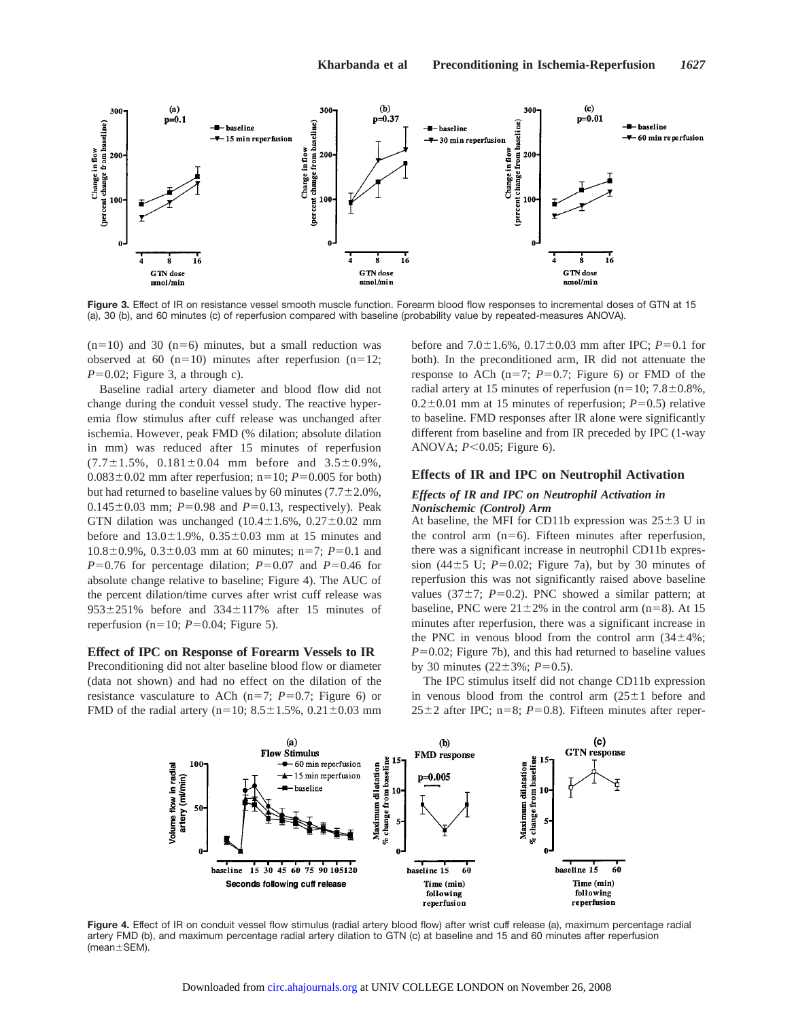

**Figure 3.** Effect of IR on resistance vessel smooth muscle function. Forearm blood flow responses to incremental doses of GTN at 15 (a), 30 (b), and 60 minutes (c) of reperfusion compared with baseline (probability value by repeated-measures ANOVA).

 $(n=10)$  and 30 (n=6) minutes, but a small reduction was observed at 60 (n=10) minutes after reperfusion (n=12;  $P=0.02$ ; Figure 3, a through c).

Baseline radial artery diameter and blood flow did not change during the conduit vessel study. The reactive hyperemia flow stimulus after cuff release was unchanged after ischemia. However, peak FMD (% dilation; absolute dilation in mm) was reduced after 15 minutes of reperfusion  $(7.7\pm1.5\%$ ,  $0.181\pm0.04$  mm before and  $3.5\pm0.9\%$ ,  $0.083\pm0.02$  mm after reperfusion; n=10; *P*=0.005 for both) but had returned to baseline values by 60 minutes  $(7.7\pm2.0\%$ , 0.145 $\pm$ 0.03 mm; *P*=0.98 and *P*=0.13, respectively). Peak GTN dilation was unchanged  $(10.4 \pm 1.6\%, 0.27 \pm 0.02 \text{ mm})$ before and  $13.0 \pm 1.9$ %,  $0.35 \pm 0.03$  mm at 15 minutes and  $10.8 \pm 0.9$ %,  $0.3 \pm 0.03$  mm at 60 minutes; n=7; *P*=0.1 and  $P=0.76$  for percentage dilation;  $P=0.07$  and  $P=0.46$  for absolute change relative to baseline; Figure 4). The AUC of the percent dilation/time curves after wrist cuff release was  $953\pm251\%$  before and  $334\pm117\%$  after 15 minutes of reperfusion ( $n=10$ ;  $P=0.04$ ; Figure 5).

# **Effect of IPC on Response of Forearm Vessels to IR**

Preconditioning did not alter baseline blood flow or diameter (data not shown) and had no effect on the dilation of the resistance vasculature to ACh ( $n=7$ ; *P*=0.7; Figure 6) or FMD of the radial artery (n=10;  $8.5 \pm 1.5$ %,  $0.21 \pm 0.03$  mm

before and  $7.0 \pm 1.6$ %,  $0.17 \pm 0.03$  mm after IPC;  $P=0.1$  for both). In the preconditioned arm, IR did not attenuate the response to ACh  $(n=7; P=0.7;$  Figure 6) or FMD of the radial artery at 15 minutes of reperfusion ( $n=10$ ;  $7.8\pm0.8\%$ ,  $0.2\pm0.01$  mm at 15 minutes of reperfusion; *P*=0.5) relative to baseline. FMD responses after IR alone were significantly different from baseline and from IR preceded by IPC (1-way ANOVA;  $P<0.05$ ; Figure 6).

#### **Effects of IR and IPC on Neutrophil Activation**

#### *Effects of IR and IPC on Neutrophil Activation in Nonischemic (Control) Arm*

At baseline, the MFI for CD11b expression was  $25±3$  U in the control arm  $(n=6)$ . Fifteen minutes after reperfusion, there was a significant increase in neutrophil CD11b expression (44 $\pm$ 5 U; *P*=0.02; Figure 7a), but by 30 minutes of reperfusion this was not significantly raised above baseline values ( $37\pm7$ ; *P*=0.2). PNC showed a similar pattern; at baseline, PNC were  $21\pm2\%$  in the control arm (n=8). At 15 minutes after reperfusion, there was a significant increase in the PNC in venous blood from the control arm  $(34\pm4\%)$ ;  $P=0.02$ ; Figure 7b), and this had returned to baseline values by 30 minutes  $(22\pm3\%; P=0.5)$ .

The IPC stimulus itself did not change CD11b expression in venous blood from the control arm  $(25\pm 1)$  before and  $25\pm2$  after IPC; n=8; *P*=0.8). Fifteen minutes after reper-



**Figure 4.** Effect of IR on conduit vessel flow stimulus (radial artery blood flow) after wrist cuff release (a), maximum percentage radial artery FMD (b), and maximum percentage radial artery dilation to GTN (c) at baseline and 15 and 60 minutes after reperfusion  $(mean + SFM)$ .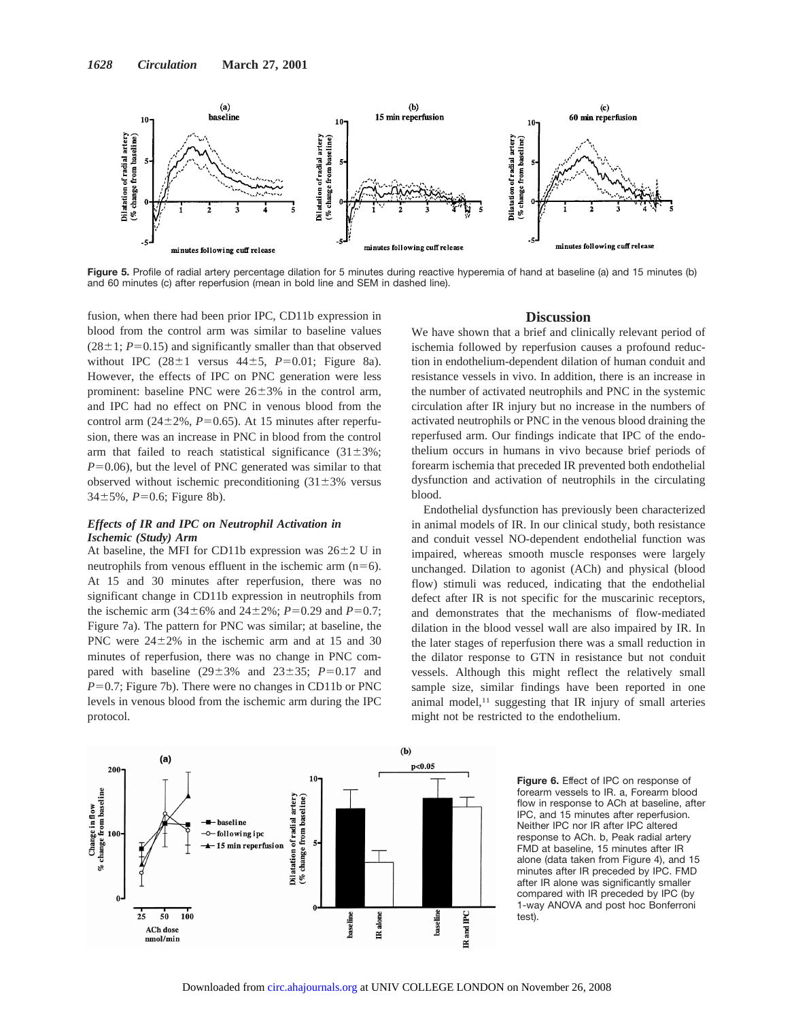

**Figure 5.** Profile of radial artery percentage dilation for 5 minutes during reactive hyperemia of hand at baseline (a) and 15 minutes (b) and 60 minutes (c) after reperfusion (mean in bold line and SEM in dashed line).

fusion, when there had been prior IPC, CD11b expression in blood from the control arm was similar to baseline values  $(28\pm1; P=0.15)$  and significantly smaller than that observed without IPC  $(28\pm1)$  versus  $44\pm5$ ,  $P=0.01$ ; Figure 8a). However, the effects of IPC on PNC generation were less prominent: baseline PNC were  $26\pm3\%$  in the control arm, and IPC had no effect on PNC in venous blood from the control arm  $(24\pm2\%, P=0.65)$ . At 15 minutes after reperfusion, there was an increase in PNC in blood from the control arm that failed to reach statistical significance  $(31\pm3\%)$ ;  $P=0.06$ ), but the level of PNC generated was similar to that observed without ischemic preconditioning  $(31\pm3\%$  versus  $34\pm5\%$ , *P*=0.6; Figure 8b).

#### *Effects of IR and IPC on Neutrophil Activation in Ischemic (Study) Arm*

At baseline, the MFI for CD11b expression was  $26\pm2$  U in neutrophils from venous effluent in the ischemic arm  $(n=6)$ . At 15 and 30 minutes after reperfusion, there was no significant change in CD11b expression in neutrophils from the ischemic arm  $(34\pm6\% \text{ and } 24\pm2\%; P=0.29 \text{ and } P=0.7;$ Figure 7a). The pattern for PNC was similar; at baseline, the PNC were  $24\pm2\%$  in the ischemic arm and at 15 and 30 minutes of reperfusion, there was no change in PNC compared with baseline  $(29\pm3\%$  and  $23\pm35$ ;  $P=0.17$  and  $P=0.7$ ; Figure 7b). There were no changes in CD11b or PNC levels in venous blood from the ischemic arm during the IPC protocol.

# **Discussion**

We have shown that a brief and clinically relevant period of ischemia followed by reperfusion causes a profound reduction in endothelium-dependent dilation of human conduit and resistance vessels in vivo. In addition, there is an increase in the number of activated neutrophils and PNC in the systemic circulation after IR injury but no increase in the numbers of activated neutrophils or PNC in the venous blood draining the reperfused arm. Our findings indicate that IPC of the endothelium occurs in humans in vivo because brief periods of forearm ischemia that preceded IR prevented both endothelial dysfunction and activation of neutrophils in the circulating blood.

Endothelial dysfunction has previously been characterized in animal models of IR. In our clinical study, both resistance and conduit vessel NO-dependent endothelial function was impaired, whereas smooth muscle responses were largely unchanged. Dilation to agonist (ACh) and physical (blood flow) stimuli was reduced, indicating that the endothelial defect after IR is not specific for the muscarinic receptors, and demonstrates that the mechanisms of flow-mediated dilation in the blood vessel wall are also impaired by IR. In the later stages of reperfusion there was a small reduction in the dilator response to GTN in resistance but not conduit vessels. Although this might reflect the relatively small sample size, similar findings have been reported in one animal model,<sup>11</sup> suggesting that IR injury of small arteries might not be restricted to the endothelium.



**Figure 6.** Effect of IPC on response of forearm vessels to IR. a, Forearm blood flow in response to ACh at baseline, after IPC, and 15 minutes after reperfusion. Neither IPC nor IR after IPC altered response to ACh. b, Peak radial artery FMD at baseline, 15 minutes after IR alone (data taken from Figure 4), and 15 minutes after IR preceded by IPC. FMD after IR alone was significantly smaller compared with IR preceded by IPC (by 1-way ANOVA and post hoc Bonferroni test).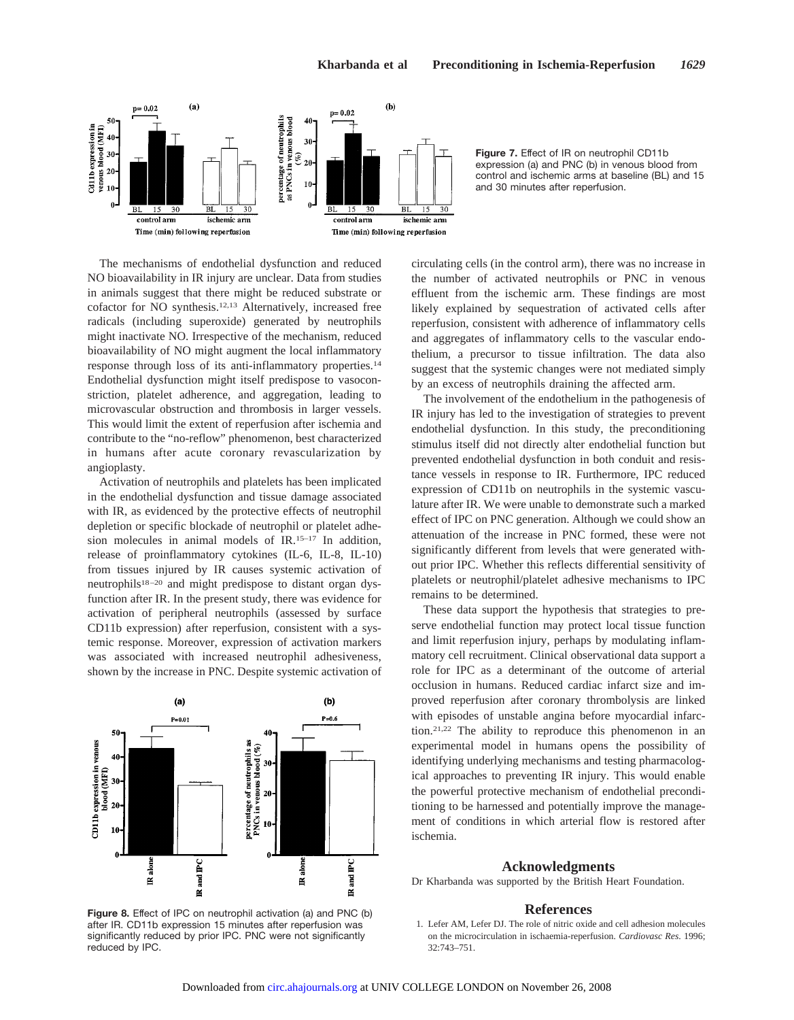

**Figure 7.** Effect of IR on neutrophil CD11b expression (a) and PNC (b) in venous blood from control and ischemic arms at baseline (BL) and 15 and 30 minutes after reperfusion.

The mechanisms of endothelial dysfunction and reduced NO bioavailability in IR injury are unclear. Data from studies in animals suggest that there might be reduced substrate or cofactor for NO synthesis.12,13 Alternatively, increased free radicals (including superoxide) generated by neutrophils might inactivate NO. Irrespective of the mechanism, reduced bioavailability of NO might augment the local inflammatory response through loss of its anti-inflammatory properties.14 Endothelial dysfunction might itself predispose to vasoconstriction, platelet adherence, and aggregation, leading to microvascular obstruction and thrombosis in larger vessels. This would limit the extent of reperfusion after ischemia and contribute to the "no-reflow" phenomenon, best characterized in humans after acute coronary revascularization by angioplasty.

Activation of neutrophils and platelets has been implicated in the endothelial dysfunction and tissue damage associated with IR, as evidenced by the protective effects of neutrophil depletion or specific blockade of neutrophil or platelet adhesion molecules in animal models of IR.15–17 In addition, release of proinflammatory cytokines (IL-6, IL-8, IL-10) from tissues injured by IR causes systemic activation of neutrophils18–20 and might predispose to distant organ dysfunction after IR. In the present study, there was evidence for activation of peripheral neutrophils (assessed by surface CD11b expression) after reperfusion, consistent with a systemic response. Moreover, expression of activation markers was associated with increased neutrophil adhesiveness, shown by the increase in PNC. Despite systemic activation of



circulating cells (in the control arm), there was no increase in the number of activated neutrophils or PNC in venous effluent from the ischemic arm. These findings are most likely explained by sequestration of activated cells after reperfusion, consistent with adherence of inflammatory cells and aggregates of inflammatory cells to the vascular endothelium, a precursor to tissue infiltration. The data also suggest that the systemic changes were not mediated simply by an excess of neutrophils draining the affected arm.

The involvement of the endothelium in the pathogenesis of IR injury has led to the investigation of strategies to prevent endothelial dysfunction. In this study, the preconditioning stimulus itself did not directly alter endothelial function but prevented endothelial dysfunction in both conduit and resistance vessels in response to IR. Furthermore, IPC reduced expression of CD11b on neutrophils in the systemic vasculature after IR. We were unable to demonstrate such a marked effect of IPC on PNC generation. Although we could show an attenuation of the increase in PNC formed, these were not significantly different from levels that were generated without prior IPC. Whether this reflects differential sensitivity of platelets or neutrophil/platelet adhesive mechanisms to IPC remains to be determined.

These data support the hypothesis that strategies to preserve endothelial function may protect local tissue function and limit reperfusion injury, perhaps by modulating inflammatory cell recruitment. Clinical observational data support a role for IPC as a determinant of the outcome of arterial occlusion in humans. Reduced cardiac infarct size and improved reperfusion after coronary thrombolysis are linked with episodes of unstable angina before myocardial infarction.21,22 The ability to reproduce this phenomenon in an experimental model in humans opens the possibility of identifying underlying mechanisms and testing pharmacological approaches to preventing IR injury. This would enable the powerful protective mechanism of endothelial preconditioning to be harnessed and potentially improve the management of conditions in which arterial flow is restored after ischemia.

#### **Acknowledgments**

Dr Kharbanda was supported by the British Heart Foundation.

# **References**

**Figure 8.** Effect of IPC on neutrophil activation (a) and PNC (b) after IR. CD11b expression 15 minutes after reperfusion was significantly reduced by prior IPC. PNC were not significantly reduced by IPC.

1. Lefer AM, Lefer DJ. The role of nitric oxide and cell adhesion molecules on the microcirculation in ischaemia-reperfusion. *Cardiovasc Res*. 1996; 32:743–751.